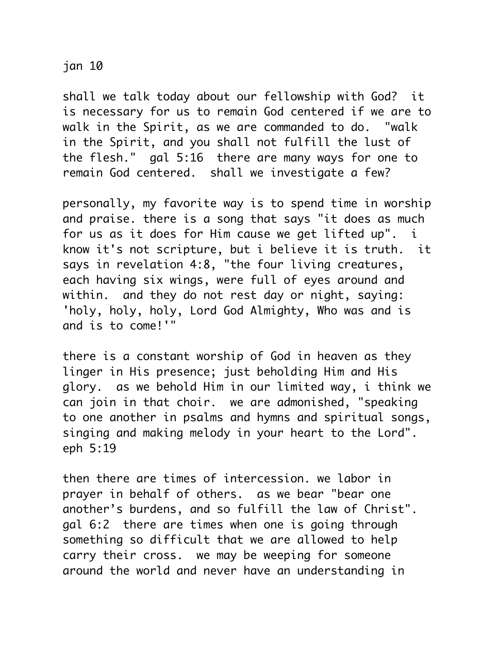## jan 10

shall we talk today about our fellowship with God? it is necessary for us to remain God centered if we are to walk in the Spirit, as we are commanded to do. "walk in the Spirit, and you shall not fulfill the lust of the flesh." gal 5:16 there are many ways for one to remain God centered. shall we investigate a few?

personally, my favorite way is to spend time in worship and praise. there is a song that says "it does as much for us as it does for Him cause we get lifted up". i know it's not scripture, but i believe it is truth. it says in revelation 4:8, "the four living creatures, each having six wings, were full of eyes around and within. and they do not rest day or night, saying: 'holy, holy, holy, Lord God Almighty, Who was and is and is to come!'"

there is a constant worship of God in heaven as they linger in His presence; just beholding Him and His glory. as we behold Him in our limited way, i think we can join in that choir. we are admonished, "speaking to one another in psalms and hymns and spiritual songs, singing and making melody in your heart to the Lord". eph 5:19

then there are times of intercession. we labor in prayer in behalf of others. as we bear "bear one another's burdens, and so fulfill the law of Christ". gal 6:2 there are times when one is going through something so difficult that we are allowed to help carry their cross. we may be weeping for someone around the world and never have an understanding in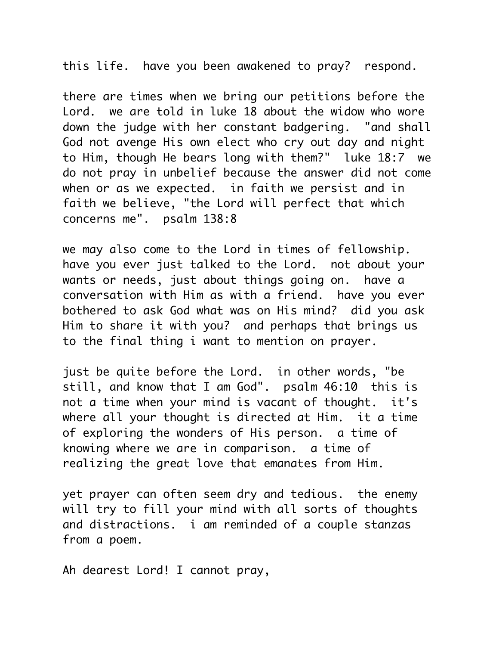this life. have you been awakened to pray? respond.

there are times when we bring our petitions before the Lord. we are told in luke 18 about the widow who wore down the judge with her constant badgering. "and shall God not avenge His own elect who cry out day and night to Him, though He bears long with them?" luke 18:7 we do not pray in unbelief because the answer did not come when or as we expected. in faith we persist and in faith we believe, "the Lord will perfect that which concerns me". psalm 138:8

we may also come to the Lord in times of fellowship. have you ever just talked to the Lord. not about your wants or needs, just about things going on. have a conversation with Him as with a friend. have you ever bothered to ask God what was on His mind? did you ask Him to share it with you? and perhaps that brings us to the final thing i want to mention on prayer.

just be quite before the Lord. in other words, "be still, and know that I am God". psalm 46:10 this is not a time when your mind is vacant of thought. it's where all your thought is directed at Him. it a time of exploring the wonders of His person. a time of knowing where we are in comparison. a time of realizing the great love that emanates from Him.

yet prayer can often seem dry and tedious. the enemy will try to fill your mind with all sorts of thoughts and distractions. i am reminded of a couple stanzas from a poem.

Ah dearest Lord! I cannot pray,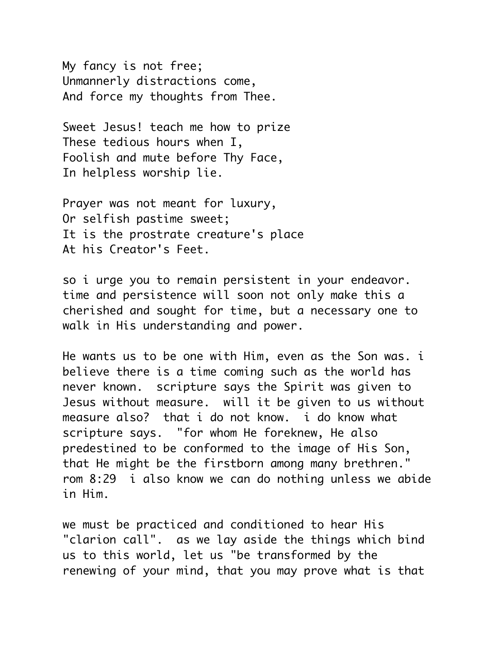My fancy is not free; Unmannerly distractions come, And force my thoughts from Thee.

Sweet Jesus! teach me how to prize These tedious hours when I, Foolish and mute before Thy Face, In helpless worship lie.

Prayer was not meant for luxury, Or selfish pastime sweet; It is the prostrate creature's place At his Creator's Feet.

so i urge you to remain persistent in your endeavor. time and persistence will soon not only make this a cherished and sought for time, but a necessary one to walk in His understanding and power.

He wants us to be one with Him, even as the Son was. i believe there is a time coming such as the world has never known. scripture says the Spirit was given to Jesus without measure. will it be given to us without measure also? that i do not know. i do know what scripture says. "for whom He foreknew, He also predestined to be conformed to the image of His Son, that He might be the firstborn among many brethren." rom 8:29 i also know we can do nothing unless we abide in Him.

we must be practiced and conditioned to hear His "clarion call". as we lay aside the things which bind us to this world, let us "be transformed by the renewing of your mind, that you may prove what is that